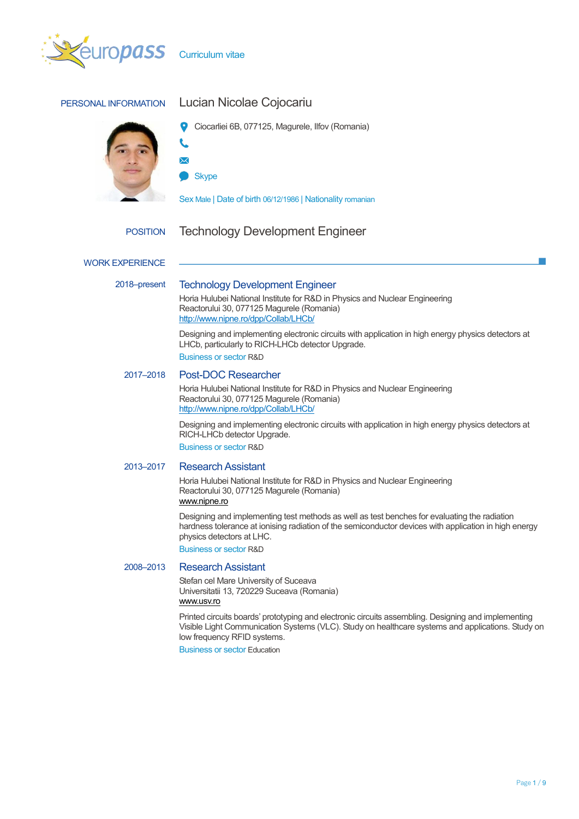

| PERSONAL INFORMATION   | Lucian Nicolae Cojocariu                                                                                                                                                                                                                |
|------------------------|-----------------------------------------------------------------------------------------------------------------------------------------------------------------------------------------------------------------------------------------|
|                        | Ciocarliei 6B, 077125, Magurele, Ilfov (Romania)                                                                                                                                                                                        |
|                        |                                                                                                                                                                                                                                         |
|                        | ✕                                                                                                                                                                                                                                       |
|                        | <b>Skype</b>                                                                                                                                                                                                                            |
|                        | Sex Male   Date of birth 06/12/1986   Nationality romanian                                                                                                                                                                              |
|                        |                                                                                                                                                                                                                                         |
| <b>POSITION</b>        | <b>Technology Development Engineer</b>                                                                                                                                                                                                  |
|                        |                                                                                                                                                                                                                                         |
| <b>WORK EXPERIENCE</b> |                                                                                                                                                                                                                                         |
| 2018-present           | <b>Technology Development Engineer</b>                                                                                                                                                                                                  |
|                        | Horia Hulubei National Institute for R&D in Physics and Nuclear Engineering<br>Reactorului 30, 077125 Magurele (Romania)                                                                                                                |
|                        | http://www.nipne.ro/dpp/Collab/LHCb/                                                                                                                                                                                                    |
|                        | Designing and implementing electronic circuits with application in high energy physics detectors at<br>LHCb, particularly to RICH-LHCb detector Upgrade.                                                                                |
|                        | <b>Business or sector R&amp;D</b>                                                                                                                                                                                                       |
| 2017-2018              | <b>Post-DOC Researcher</b>                                                                                                                                                                                                              |
|                        | Horia Hulubei National Institute for R&D in Physics and Nuclear Engineering                                                                                                                                                             |
|                        | Reactorului 30, 077125 Magurele (Romania)<br>http://www.nipne.ro/dpp/Collab/LHCb/                                                                                                                                                       |
|                        | Designing and implementing electronic circuits with application in high energy physics detectors at                                                                                                                                     |
|                        | RICH-LHCb detector Upgrade.<br><b>Business or sector R&amp;D</b>                                                                                                                                                                        |
| 2013-2017              | <b>Research Assistant</b>                                                                                                                                                                                                               |
|                        | Horia Hulubei National Institute for R&D in Physics and Nuclear Engineering                                                                                                                                                             |
|                        | Reactorului 30, 077125 Magurele (Romania)<br>www.nipne.ro                                                                                                                                                                               |
|                        | Designing and implementing test methods as well as test benches for evaluating the radiation                                                                                                                                            |
|                        | hardness tolerance at ionising radiation of the semiconductor devices with application in high energy<br>physics detectors at LHC.                                                                                                      |
|                        | <b>Business or sector R&amp;D</b>                                                                                                                                                                                                       |
| 2008-2013              | <b>Research Assistant</b>                                                                                                                                                                                                               |
|                        | Stefan cel Mare University of Suceava<br>Universitatii 13, 720229 Suceava (Romania)                                                                                                                                                     |
|                        | www.usv.ro                                                                                                                                                                                                                              |
|                        | Printed circuits boards' prototyping and electronic circuits assembling. Designing and implementing<br>Visible Light Communication Systems (VLC). Study on healthcare systems and applications. Study on<br>low frequency RFID systems. |
|                        | <b>Business or sector Education</b>                                                                                                                                                                                                     |
|                        |                                                                                                                                                                                                                                         |
|                        |                                                                                                                                                                                                                                         |
|                        |                                                                                                                                                                                                                                         |
|                        |                                                                                                                                                                                                                                         |
|                        |                                                                                                                                                                                                                                         |

P.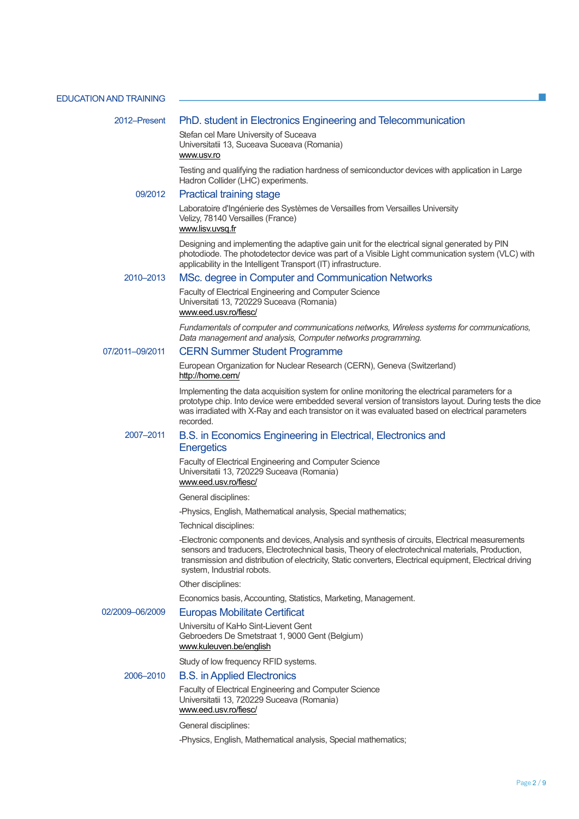| EDUCATION AND TRAINING |  |
|------------------------|--|
|------------------------|--|

### 2012–Present PhD. student in Electronics Engineering and Telecommunication

Stefan cel Mare University of Suceava Universitatii 13, Suceava Suceava (Romania) [www.usv.ro](http://www.usv.ro/) 

Testing and qualifying the radiation hardness of semiconductor devices with application in Large Hadron Collider (LHC) experiments.

#### 09/2012 Practical training stage

Laboratoire d'Ingénierie des Systèmes de Versailles from Versailles University Velizy, 78140 Versailles (France) [www.lisv.uvsq.fr](http://www.lisv.uvsq.fr/) 

Designing and implementing the adaptive gain unit for the electrical signal generated by PIN photodiode. The photodetector device was part of a Visible Light communication system (VLC) with applicability in the Intelligent Transport (IT) infrastructure.

# 2010–2013 MSc. degree in Computer and Communication Networks

Faculty of Electrical Engineering and Computer Science Universitati 13, 720229 Suceava (Romania) [www.eed.usv.ro/fiesc/](http://www.eed.usv.ro/fiesc/) 

*Fundamentals of computer and communications networks, Wireless systems for communications, Data management and analysis, Computer networks programming.*

## 07/2011–09/2011 CERN Summer Student Programme

European Organization for Nuclear Research (CERN), Geneva (Switzerland) <http://home.cern/>

Implementing the data acquisition system for online monitoring the electrical parameters for a prototype chip. Into device were embedded several version of transistors layout. During tests the dice was irradiated with X-Ray and each transistor on it was evaluated based on electrical parameters recorded.

# 2007–2011 B.S. in Economics Engineering in Electrical, Electronics and **Energetics**

Faculty of Electrical Engineering and Computer Science Universitatii 13, 720229 Suceava (Romania) [www.eed.usv.ro/fiesc/](http://www.eed.usv.ro/fiesc/) 

General disciplines:

-Physics, English, Mathematical analysis, Special mathematics;

Technical disciplines:

-Electronic components and devices, Analysis and synthesis of circuits, Electrical measurements sensors and traducers, Electrotechnical basis, Theory of electrotechnical materials, Production, transmission and distribution of electricity, Static converters, Electrical equipment, Electrical driving system, Industrial robots.

Other disciplines:

Economics basis, Accounting, Statistics, Marketing, Management.

# 02/2009–06/2009 Europas Mobilitate Certificat

Universitu of KaHo Sint-Lievent Gent Gebroeders De Smetstraat 1, 9000 Gent (Belgium) [www.kuleuven.be/english](http://www.kuleuven.be/english) 

Study of low frequency RFID systems.

# 2006–2010 B.S. in Applied Electronics

Faculty of Electrical Engineering and Computer Science Universitatii 13, 720229 Suceava (Romania) [www.eed.usv.ro/fiesc/](http://www.eed.usv.ro/fiesc/) 

General disciplines:

-Physics, English, Mathematical analysis, Special mathematics;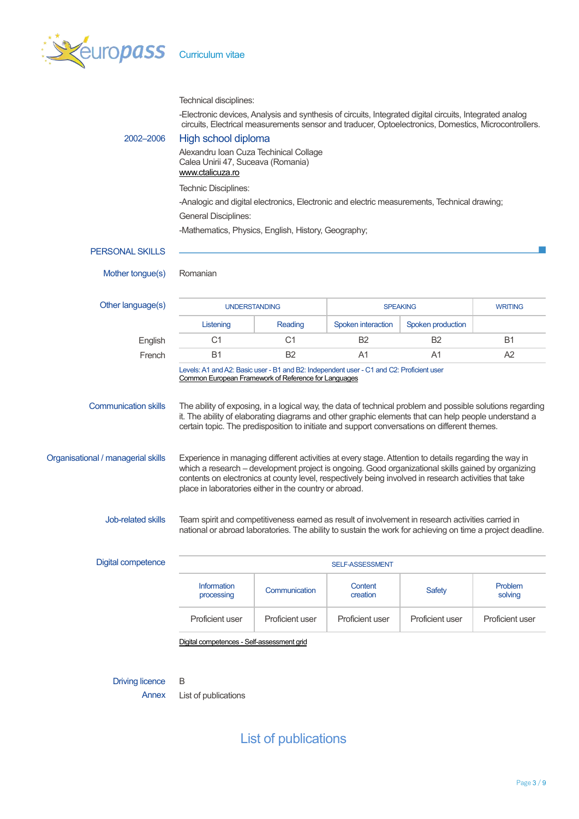

#### Technical disciplines:

-Electronic devices, Analysis and synthesis of circuits, Integrated digital circuits, Integrated analog circuits, Electrical measurements sensor and traducer, Optoelectronics, Domestics, Microcontrollers.

2002–2006 High school diploma

Alexandru Ioan Cuza Techinical Collage Calea Unirii 47, Suceava (Romania) [www.ctalicuza.ro](http://www.ctalicuza.ro/) 

Technic Disciplines:

-Analogic and digital electronics, Electronic and electric measurements, Technical drawing;

General Disciplines:

-Mathematics, Physics, English, History, Geography;

#### PERSONAL SKILLS

Mother tonque(s) Romanian

Other language(s)

| uage(s) | <b>UNDERSTANDING</b>                                                                     |                | <b>SPEAKING</b>    |                   | <b>WRITING</b> |  |  |
|---------|------------------------------------------------------------------------------------------|----------------|--------------------|-------------------|----------------|--|--|
|         | Listening                                                                                | Reading        | Spoken interaction | Spoken production |                |  |  |
| English | C1                                                                                       | C1             | B2                 | B <sub>2</sub>    | B <sub>1</sub> |  |  |
| French  | Β1                                                                                       | B <sub>2</sub> | Α1                 | Α1                | A2             |  |  |
|         | Levels: A1 and A2: Basic user - B1 and B2: Independent user - C1 and C2: Proficient user |                |                    |                   |                |  |  |

[Common European Framework of Reference for Languages](http://europass.cedefop.europa.eu/en/resources/european-language-levels-cefr) 

Communication skills The ability of exposing, in a logical way, the data of technical problem and possible solutions regarding it. The ability of elaborating diagrams and other graphic elements that can help people understand a certain topic. The predisposition to initiate and support conversations on different themes.

Organisational / managerial skills Experience in managing different activities at every stage. Attention to details regarding the way in which a research – development project is ongoing. Good organizational skills gained by organizing contents on electronics at county level, respectively being involved in research activities that take place in laboratories either in the country or abroad.

> Job-related skills Team spirit and competitiveness earned as result of involvement in research activities carried in national or abroad laboratories. The ability to sustain the work for achieving on time a project deadline.

| Digital competence | <b>SELF-ASSESSMENT</b>           |                 |                     |                 |                           |  |  |
|--------------------|----------------------------------|-----------------|---------------------|-----------------|---------------------------|--|--|
|                    | <b>Information</b><br>processing | Communication   | Content<br>creation | <b>Safety</b>   | <b>Problem</b><br>solving |  |  |
|                    | Proficient user                  | Proficient user | Proficient user     | Proficient user | Proficient user           |  |  |

[Digital competences - Self-assessment grid](http://europass.cedefop.europa.eu/en/resources/digital-competences) 

#### Driving licence B

Annex List of publications

# List of publications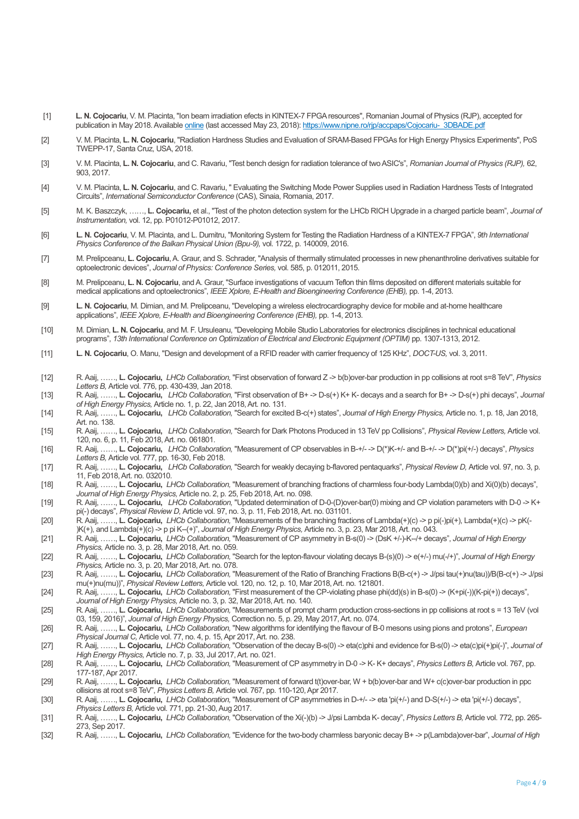- [1] **L. N. Cojocariu**, V. M. Placinta, "Ion beam irradiation efects in KINTEX-7 FPGA resources", Romanian Journal of Physics (RJP), accepted for publication in May 2018. Availabl[e online \(](https://www.nipne.ro/rjp/accpaps/Cojocariu-_3DBADE.pdf)last accessed May 23, 2018): https://www.nipne.ro/rjp/accpaps/Cojocariu-\_3DBADE.pdf
- [2] V. M. Placinta, **L. N. Cojocariu**, "Radiation Hardness Studies and Evaluation of SRAM-Based FPGAs for High Energy Physics Experiments", PoS TWEPP-17, Santa Cruz, USA, 2018.
- [3] V. M. Placinta, **L. N. Cojocariu**, and C. Ravariu, "Test bench design for radiation tolerance of two ASIC's", *Romanian Journal of Physics (RJP),* 62, 903, 2017.
- [4] V. M. Placinta, **L. N. Cojocariu**, and C. Ravariu, " Evaluating the Switching Mode Power Supplies used in Radiation Hardness Tests of Integrated Circuits", *International Semiconductor Conference* (CAS), Sinaia, Romania, 2017.
- [5] M. K. Baszczyk, ……, **L. Cojocariu,** et al., "Test of the photon detection system for the LHCb RICH Upgrade in a charged particle beam", *Journal of Instrumentation,* vol. 12, pp. P01012-P01012, 2017.
- [6] **L. N. Cojocariu**, V. M. Placinta, and L. Dumitru, "Monitoring System for Testing the Radiation Hardness of a KINTEX-7 FPGA", *9th International Physics Conference of the Balkan Physical Union (Bpu-9),* vol. 1722, p. 140009, 2016.
- [7] M. Prelipceanu, **L. Cojocariu**, A. Graur, and S. Schrader, "Analysis of thermally stimulated processes in new phenanthroline derivatives suitable for optoelectronic devices", *Journal of Physics: Conference Series,* vol. 585, p. 012011, 2015.
- [8] M. Prelipceanu, **L. N. Cojocariu**, and A. Graur, "Surface investigations of vacuum Teflon thin films deposited on different materials suitable for medical applications and optoelectronics", *IEEE Xplore, E-Health and Bioengineering Conference (EHB),* pp. 1-4, 2013.
- [9] **L. N. Cojocariu**, M. Dimian, and M. Prelipceanu, "Developing a wireless electrocardiography device for mobile and at-home healthcare applications", *IEEE Xplore, E-Health and Bioengineering Conference (EHB),* pp. 1-4, 2013.
- [10] M. Dimian, **L. N. Cojocariu**, and M. F. Ursuleanu, "Developing Mobile Studio Laboratories for electronics disciplines in technical educational programs", *13th International Conference on Optimization of Electrical and Electronic Equipment (OPTIM)* pp. 1307-1313, 2012.
- [11] **L. N. Cojocariu**, O. Manu, "Design and development of a RFID reader with carrier frequency of 125 KHz", *DOCT-US,* vol. 3, 2011.
- [12] R. Aaij, ……, **L. Cojocariu,** *LHCb Collaboration,* "First observation of forward Z -> b(b)over-bar production in pp collisions at root s=8 TeV", *Physics Letters B,* Article vol. 776, pp. 430-439, Jan 2018.
- [13] R. Aaij, ……, **L. Cojocariu,** *LHCb Collaboration,* "First observation of B+ -> D-s(+) K+ K- decays and a search for B+ -> D-s(+) phi decays", *Journal of High Energy Physics,* Article no. 1, p. 22, Jan 2018, Art. no. 131.
- [14] R. Aaij, ……, **L. Cojocariu,** *LHCb Collaboration,* "Search for excited B-c(+) states", *Journal of High Energy Physics,* Article no. 1, p. 18, Jan 2018, Art. no. 138.
- [15] R. Aaij, ……, **L. Cojocariu,** *LHCb Collaboration,* "Search for Dark Photons Produced in 13 TeV pp Collisions", *Physical Review Letters,* Article vol. 120, no. 6, p. 11, Feb 2018, Art. no. 061801.
- [16] R. Aaij, ……, **L. Cojocariu,** *LHCb Collaboration,* "Measurement of CP observables in B-+/- -> D(\*)K-+/- and B-+/- -> D(\*)pi(+/-) decays", *Physics Letters B,* Article vol. 777, pp. 16-30, Feb 2018.
- [17] R. Aaij, ……, **L. Cojocariu,** *LHCb Collaboration,* "Search for weakly decaying b-flavored pentaquarks", *Physical Review D,* Article vol. 97, no. 3, p. 11, Feb 2018, Art. no. 032010.
- [18] R. Aaij, ……, **L. Cojocariu,** *LHCb Collaboration,* "Measurement of branching fractions of charmless four-body Lambda(0)(b) and Xi(0)(b) decays", *Journal of High Energy Physics,* Article no. 2, p. 25, Feb 2018, Art. no. 098.
- [19] R. Aaij, ……, **L. Cojocariu,** *LHCb Collaboration,* "Updated determination of D-0-(D)over-bar(0) mixing and CP violation parameters with D-0 -> K+ pi(-) decays", *Physical Review D,* Article vol. 97, no. 3, p. 11, Feb 2018, Art. no. 031101.
- [20] R. Aaij, ……, **L. Cojocariu,** *LHCb Collaboration,* "Measurements of the branching fractions of Lambda(+)(c) -> p pi(-)pi(+), Lambda(+)(c) -> pK(- )K(+), and Lambda(+)(c) -> p pi K--(+)", *Journal of High Energy Physics,* Article no. 3, p. 23, Mar 2018, Art. no. 043.
- [21] R. Aaij, ……, **L. Cojocariu,** *LHCb Collaboration,* "Measurement of CP asymmetry in B-s(0) -> (DsK +/-)-K--/+ decays", *Journal of High Energy Physics,* Article no. 3, p. 28, Mar 2018, Art. no. 059.
- [22] R. Aaij, ……, **L. Cojocariu,** *LHCb Collaboration,* "Search for the lepton-flavour violating decays B-(s)(0) -> e(+/-) mu(-/+)", *Journal of High Energy Physics,* Article no. 3, p. 20, Mar 2018, Art. no. 078.
- [23] R. Aaij, ……, **L. Cojocariu,** *LHCb Collaboration,* "Measurement of the Ratio of Branching Fractions B(B-c(+) -> J/psi tau(+)nu(tau))/B(B-c(+) -> J/psi mu(+)nu(mu))", *Physical Review Letters,* Article vol. 120, no. 12, p. 10, Mar 2018, Art. no. 121801.
- [24] R. Aaij, ……, **L. Cojocariu,** *LHCb Collaboration,* "First measurement of the CP-violating phase phi(dd)(s) in B-s(0) -> (K+pi(-))(K-pi(+)) decays", *Journal of High Energy Physics,* Article no. 3, p. 32, Mar 2018, Art. no. 140.
- [25] R. Aaij, ……, **L. Cojocariu,** *LHCb Collaboration,* "Measurements of prompt charm production cross-sections in pp collisions at root s = 13 TeV (vol 03, 159, 2016)", *Journal of High Energy Physics,* Correction no. 5, p. 29, May 2017, Art. no. 074.
- [26] R. Aaij, ……, **L. Cojocariu,** *LHCb Collaboration,* "New algorithms for identifying the flavour of B-0 mesons using pions and protons", *European Physical Journal C,* Article vol. 77, no. 4, p. 15, Apr 2017, Art. no. 238.
- [27] R. Aaij, ……, **L. Cojocariu,** *LHCb Collaboration,* "Observation of the decay B-s(0) -> eta(c)phi and evidence for B-s(0) -> eta(c)pi(+)pi(-)", *Journal of High Energy Physics,* Article no. 7, p. 33, Jul 2017, Art. no. 021.
- [28] R. Aaij, ……, **L. Cojocariu,** *LHCb Collaboration,* "Measurement of CP asymmetry in D-0 -> K- K+ decays", *Physics Letters B,* Article vol. 767, pp. 177-187, Apr 2017.
- [29] R. Aaij, ……, **L. Cojocariu,** *LHCb Collaboration,* "Measurement of forward t(t)over-bar, W + b(b)over-bar and W+ c(c)over-bar production in ppc ollisions at root s=8 TeV", *Physics Letters B,* Article vol. 767, pp. 110-120, Apr 2017.
- [30] R. Aaij, ……, **L. Cojocariu,** *LHCb Collaboration,* "Measurement of CP asymmetries in D-+/- -> eta 'pi(+/-) and D-S(+/-) -> eta 'pi(+/-) decays", *Physics Letters B,* Article vol. 771, pp. 21-30, Aug 2017.
- [31] R. Aaij, ……, **L. Cojocariu,** *LHCb Collaboration,* "Observation of the Xi(-)(b) -> J/psi Lambda K- decay", *Physics Letters B,* Article vol. 772, pp. 265- 273, Sep 2017.
- [32] R. Aaij, ……, **L. Cojocariu,** *LHCb Collaboration,* "Evidence for the two-body charmless baryonic decay B+ -> p(Lambda)over-bar", *Journal of High*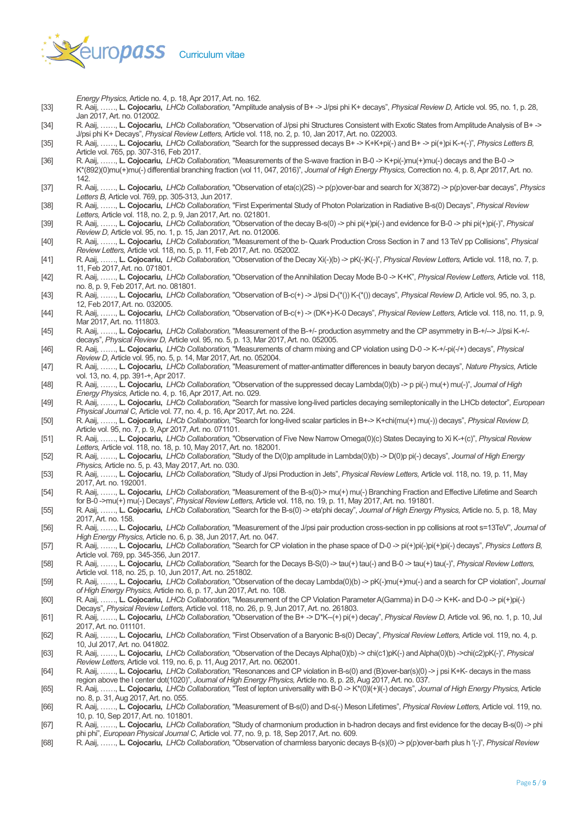

*Energy Physics,* Article no. 4, p. 18, Apr 2017, Art. no. 162.

- [33] R. Aaij, ……, **L. Cojocariu,** *LHCb Collaboration,* "Amplitude analysis of B+ -> J/psi phi K+ decays", *Physical Review D,* Article vol. 95, no. 1, p. 28, Jan 2017, Art. no. 012002.
- [34] R. Aaij, ……, **L. Cojocariu,** *LHCb Collaboration,* "Observation of J/psi phi Structures Consistent with Exotic States from Amplitude Analysis of B+ -> J/psi phi K+ Decays", *Physical Review Letters,* Article vol. 118, no. 2, p. 10, Jan 2017, Art. no. 022003.
- [35] R. Aaij, ……, **L. Cojocariu,** *LHCb Collaboration,* "Search for the suppressed decays B+ -> K+K+pi(-) and B+ -> pi(+)pi K-+(-)", *Physics Letters B,*  Article vol. 765, pp. 307-316, Feb 2017.
- [36] R. Aaij, ……, **L. Cojocariu,** *LHCb Collaboration,* "Measurements of the S-wave fraction in B-0 -> K+pi(-)mu(+)mu(-) decays and the B-0 -> K\*(892)(0)mu(+)mu(-) differential branching fraction (vol 11, 047, 2016)", *Journal of High Energy Physics,* Correction no. 4, p. 8, Apr 2017, Art. no.  $142.$
- [37] R. Aaij, ……, **L. Cojocariu,** *LHCb Collaboration,* "Observation of eta(c)(2S) -> p(p)over-bar and search for X(3872) -> p(p)over-bar decays", *Physics Letters B,* Article vol. 769, pp. 305-313, Jun 2017.
- [38] R. Aaij, ……, **L. Cojocariu,** *LHCb Collaboration,* "First Experimental Study of Photon Polarization in Radiative B-s(0) Decays", *Physical Review Letters,* Article vol. 118, no. 2, p. 9, Jan 2017, Art. no. 021801.
- [39] R. Aaij, ……, **L. Cojocariu,** *LHCb Collaboration,* "Observation of the decay B-s(0) -> phi pi(+)pi(-) and evidence for B-0 -> phi pi(+)pi(-)", *Physical Review D,* Article vol. 95, no. 1, p. 15, Jan 2017, Art. no. 012006.
- [40] R. Aaij, ……, **L. Cojocariu,** *LHCb Collaboration,* "Measurement of the b- Quark Production Cross Section in 7 and 13 TeV pp Collisions", *Physical Review Letters,* Article vol. 118, no. 5, p. 11, Feb 2017, Art. no. 052002.
- [41] R. Aaij, ……, **L. Cojocariu,** *LHCb Collaboration,* "Observation of the Decay Xi(-)(b) -> pK(-)K(-)", *Physical Review Letters,* Article vol. 118, no. 7, p. 11, Feb 2017, Art. no. 071801.
- [42] R. Aaij, ……, **L. Cojocariu,** *LHCb Collaboration,* "Observation of the Annihilation Decay Mode B-0 -> K+K", *Physical Review Letters,* Article vol. 118, no. 8, p. 9, Feb 2017, Art. no. 081801.
- [43] R. Aaij, ……, **L. Cojocariu,** *LHCb Collaboration,* "Observation of B-c(+) -> J/psi D-(\*()) K-(\*()) decays", *Physical Review D,* Article vol. 95, no. 3, p. 12, Feb 2017, Art. no. 032005.
- [44] R. Aaij, ……, **L. Cojocariu,** *LHCb Collaboration,* "Observation of B-c(+) -> (DK+)-K-0 Decays", *Physical Review Letters,* Article vol. 118, no. 11, p. 9, Mar 2017, Art. no. 111803.
- [45] R. Aaij, ……, **L. Cojocariu,** *LHCb Collaboration,* "Measurement of the B-+/- production asymmetry and the CP asymmetry in B-+/--> J/psi K-+/ decays", *Physical Review D,* Article vol. 95, no. 5, p. 13, Mar 2017, Art. no. 052005.
- [46] R. Aaij, ……, **L. Cojocariu,** *LHCb Collaboration,* "Measurements of charm mixing and CP violation using D-0 -> K-+/-pi(-/+) decays", *Physical Review D,* Article vol. 95, no. 5, p. 14, Mar 2017, Art. no. 052004.
- [47] R. Aaij, ……, **L. Cojocariu,** *LHCb Collaboration,* "Measurement of matter-antimatter differences in beauty baryon decays", *Nature Physics,* Article vol. 13, no. 4, pp. 391-+, Apr 2017.
- [48] R. Aaij, ……, **L. Cojocariu,** *LHCb Collaboration,* "Observation of the suppressed decay Lambda(0)(b) -> p pi(-) mu(+) mu(-)", *Journal of High*
- *Energy Physics,* Article no. 4, p. 16, Apr 2017, Art. no. 029. [49] R. Aaij, ……, **L. Cojocariu,** *LHCb Collaboration,* "Search for massive long-lived particles decaying semileptonically in the LHCb detector", *European Physical Journal C,* Article vol. 77, no. 4, p. 16, Apr 2017, Art. no. 224.
- [50] R. Aaij, ……, **L. Cojocariu,** *LHCb Collaboration,* "Search for long-lived scalar particles in B+-> K+chi(mu(+) mu(-)) decays", *Physical Review D,*  Article vol. 95, no. 7, p. 9, Apr 2017, Art. no. 071101.
- [51] R. Aaij, ……, **L. Cojocariu,** *LHCb Collaboration,* "Observation of Five New Narrow Omega(0)(c) States Decaying to Xi K-+(c)", *Physical Review Letters,* Article vol. 118, no. 18, p. 10, May 2017, Art. no. 182001.
- [52] R. Aaij, ……, **L. Cojocariu,** *LHCb Collaboration,* "Study of the D(0)p amplitude in Lambda(0)(b) -> D(0)p pi(-) decays", *Journal of High Energy Physics,* Article no. 5, p. 43, May 2017, Art. no. 030.
- [53] R. Aaij, ……, **L. Cojocariu,** *LHCb Collaboration,* "Study of J/psi Production in Jets", *Physical Review Letters,* Article vol. 118, no. 19, p. 11, May 2017, Art. no. 192001.
- [54] R. Aaij, ……, **L. Cojocariu,** *LHCb Collaboration,* "Measurement of the B-s(0)-> mu(+) mu(-) Branching Fraction and Effective Lifetime and Search for B-0 ->mu(+) mu(-) Decays", *Physical Review Letters,* Article vol. 118, no. 19, p. 11, May 2017, Art. no. 191801.
- [55] R. Aaij, ……, **L. Cojocariu,** *LHCb Collaboration,* "Search for the B-s(0) -> eta'phi decay", *Journal of High Energy Physics,* Article no. 5, p. 18, May 2017, Art. no. 158.
- [56] R. Aaij, ……, **L. Cojocariu,** *LHCb Collaboration,* "Measurement of the J/psi pair production cross-section in pp collisions at root s=13TeV", *Journal of High Energy Physics,* Article no. 6, p. 38, Jun 2017, Art. no. 047.
- [57] R. Aaij, ……, **L. Cojocariu,** *LHCb Collaboration,* "Search for CP violation in the phase space of D-0 -> pi(+)pi(-)pi(+)pi(-) decays", *Physics Letters B,*  Article vol. 769, pp. 345-356, Jun 2017.
- [58] R. Aaij, ......, L. Cojocariu, *LHCb Collaboration*, "Search for the Decays B-S(0) -> tau(+) tau(-) and B-0 -> tau(+) tau(-)", *Physical Review Letters*, Article vol. 118, no. 25, p. 10, Jun 2017, Art. no. 251802.
- [59] R. Aaij, ……, **L. Cojocariu,** *LHCb Collaboration,* "Observation of the decay Lambda(0)(b) -> pK(-)mu(+)mu(-) and a search for CP violation", *Journal of High Energy Physics,* Article no. 6, p. 17, Jun 2017, Art. no. 108.
- [60] R. Aaij, ……, **L. Cojocariu,** *LHCb Collaboration,* "Measurement of the CP Violation Parameter A(Gamma) in D-0 -> K+K- and D-0 -> pi(+)pi(-) Decays", *Physical Review Letters,* Article vol. 118, no. 26, p. 9, Jun 2017, Art. no. 261803.
- [61] R. Aaij, ……, **L. Cojocariu,** *LHCb Collaboration,* "Observation of the B+ -> D\*K--(+) pi(+) decay", *Physical Review D,* Article vol. 96, no. 1, p. 10, Jul 2017, Art. no. 011101.
- [62] R. Aaij, ……, **L. Cojocariu,** *LHCb Collaboration,* "First Observation of a Baryonic B-s(0) Decay", *Physical Review Letters,* Article vol. 119, no. 4, p. 10, Jul 2017, Art. no. 041802.
- [63] R. Aaij, ……, **L. Cojocariu,** *LHCb Collaboration,* "Observation of the Decays Alpha(0)(b) -> chi(c1)pK(-) and Alpha(0)(b) ->chi(c2)pK(-)", *Physical Review Letters,* Article vol. 119, no. 6, p. 11, Aug 2017, Art. no. 062001.
- [64] R. Aaij, ……, **L. Cojocariu,** *LHCb Collaboration,* "Resonances and CP violation in B-s(0) and (B)over-bar(s)(0) -> j psi K+K- decays in the mass region above the I center dot(1020)", *Journal of High Energy Physics,* Article no. 8, p. 28, Aug 2017, Art. no. 037.
- [65] R. Aaij, ……, **L. Cojocariu,** *LHCb Collaboration,* "Test of lepton universality with B-0 -> K\*(0)l(+)l(-) decays", *Journal of High Energy Physics,* Article no. 8, p. 31, Aug 2017, Art. no. 055.
- [66] R. Aaij, ……, **L. Cojocariu,** *LHCb Collaboration,* "Measurement of B-s(0) and D-s(-) Meson Lifetimes", *Physical Review Letters,* Article vol. 119, no. 10, p. 10, Sep 2017, Art. no. 101801.
- [67] R. Aaij, ……, **L. Cojocariu,** *LHCb Collaboration,* "Study of charmonium production in b-hadron decays and first evidence for the decay B-s(0) -> phi phi phi", *European Physical Journal C,* Article vol. 77, no. 9, p. 18, Sep 2017, Art. no. 609.
- [68] R. Aaij, ……, **L. Cojocariu,** *LHCb Collaboration,* "Observation of charmless baryonic decays B-(s)(0) -> p(p)over-barh plus h '(-)", *Physical Review*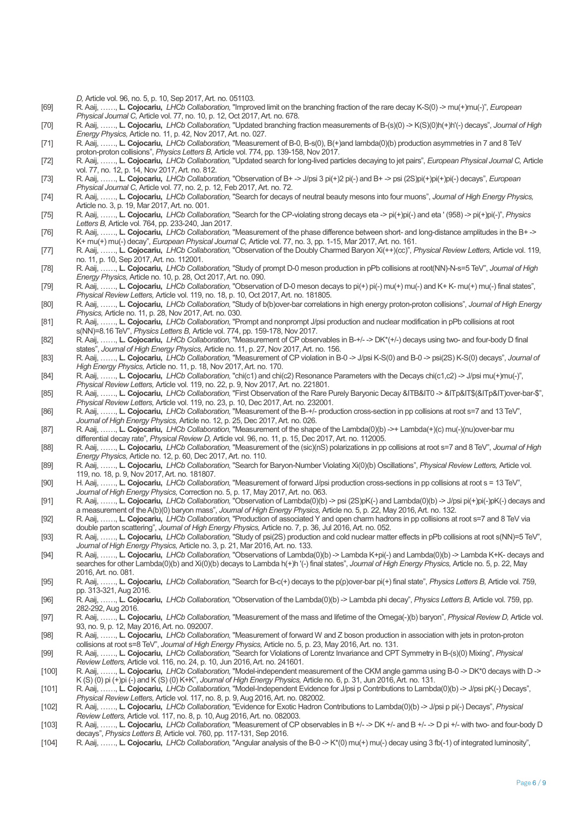*D,* Article vol. 96, no. 5, p. 10, Sep 2017, Art. no. 051103.

- [69] R. Aaij, ……, **L. Cojocariu,** *LHCb Collaboration,* "Improved limit on the branching fraction of the rare decay K-S(0) -> mu(+)mu(-)", *European Physical Journal C,* Article vol. 77, no. 10, p. 12, Oct 2017, Art. no. 678.
- [70] R. Aaij, ……, **L. Cojocariu,** *LHCb Collaboration,* "Updated branching fraction measurements of B-(s)(0) -> K(S)(0)h(+)h'(-) decays", *Journal of High Energy Physics,* Article no. 11, p. 42, Nov 2017, Art. no. 027.
- [71] R. Aaij, ……, **L. Cojocariu,** *LHCb Collaboration,* "Measurement of B-0, B-s(0), B(+)and lambda(0)(b) production asymmetries in 7 and 8 TeV proton-proton collisions", *Physics Letters B,* Article vol. 774, pp. 139-158, Nov 2017.
- [72] R. Aaij, ……, **L. Cojocariu,** *LHCb Collaboration,* "Updated search for long-lived particles decaying to jet pairs", *European Physical Journal C,* Article vol. 77, no. 12, p. 14, Nov 2017, Art. no. 812.
- [73] R. Aaij, ……, **L. Cojocariu,** *LHCb Collaboration,* "Observation of B+ -> J/psi 3 pi(+)2 pi(-) and B+ -> psi (2S)pi(+)pi(+)pi(-) decays", *European Physical Journal C,* Article vol. 77, no. 2, p. 12, Feb 2017, Art. no. 72.
- [74] R. Aaij, ……, **L. Cojocariu,** *LHCb Collaboration,* "Search for decays of neutral beauty mesons into four muons", *Journal of High Energy Physics,*  Article no. 3, p. 19, Mar 2017, Art. no. 001.
- [75] R. Aaij, ……, **L. Cojocariu,** *LHCb Collaboration,* "Search for the CP-violating strong decays eta -> pi(+)pi(-) and eta ' (958) -> pi(+)pi(-)", *Physics Letters B,* Article vol. 764, pp. 233-240, Jan 2017.
- [76] R. Aaij, ……, **L. Cojocariu,** *LHCb Collaboration,* "Measurement of the phase difference between short- and long-distance amplitudes in the B+ -> K+ mu(+) mu(-) decay", *European Physical Journal C,* Article vol. 77, no. 3, pp. 1-15, Mar 2017, Art. no. 161.
- [77] R. Aaij, ……, **L. Cojocariu,** *LHCb Collaboration,* "Observation of the Doubly Charmed Baryon Xi(++)(cc)", *Physical Review Letters,* Article vol. 119, no. 11, p. 10, Sep 2017, Art. no. 112001.
- [78] R. Aaij, ……, **L. Cojocariu,** *LHCb Collaboration,* "Study of prompt D-0 meson production in pPb collisions at root(NN)-N-s=5 TeV", *Journal of High Energy Physics,* Article no. 10, p. 28, Oct 2017, Art. no. 090.
- [79] R. Aaij, ……, **L. Cojocariu,** *LHCb Collaboration,* "Observation of D-0 meson decays to pi(+) pi(-) mu(+) mu(-) and K+ K- mu(+) mu(-) final states", *Physical Review Letters,* Article vol. 119, no. 18, p. 10, Oct 2017, Art. no. 181805.
- [80] R. Aaij, ……, **L. Cojocariu,** *LHCb Collaboration,* "Study of b(b)over-bar correlations in high energy proton-proton collisions", *Journal of High Energy Physics,* Article no. 11, p. 28, Nov 2017, Art. no. 030.
- [81] R. Aaij, ……, **L. Cojocariu,** *LHCb Collaboration,* "Prompt and nonprompt J/psi production and nuclear modification in pPb collisions at root s(NN)=8.16 TeV", *Physics Letters B,* Article vol. 774, pp. 159-178, Nov 2017.
- [82] R. Aaij, ……, **L. Cojocariu,** *LHCb Collaboration,* "Measurement of CP observables in B-+/- -> DK\*(+/-) decays using two- and four-body D final states", *Journal of High Energy Physics,* Article no. 11, p. 27, Nov 2017, Art. no. 156.
- [83] R. Aaij, ……, **L. Cojocariu,** *LHCb Collaboration,* "Measurement of CP violation in B-0 -> J/psi K-S(0) and B-0 -> psi(2S) K-S(0) decays", *Journal of High Energy Physics,* Article no. 11, p. 18, Nov 2017, Art. no. 170.
- [84] R. Aaij, ……, **L. Cojocariu,** *LHCb Collaboration,* "chi(c1) and chi(c2) Resonance Parameters with the Decays chi(c1,c2) -> J/psi mu(+)mu(-)", *Physical Review Letters,* Article vol. 119, no. 22, p. 9, Nov 2017, Art. no. 221801.
- [85] R. Aaij, ……, **L. Cojocariu,** *LHCb Collaboration,* "First Observation of the Rare Purely Baryonic Decay &ITB&IT0 -> &ITp&IT\$(&ITp&IT)over-bar-\$", *Physical Review Letters,* Article vol. 119, no. 23, p. 10, Dec 2017, Art. no. 232001.
- [86] R. Aaij, ……, **L. Cojocariu,** *LHCb Collaboration,* "Measurement of the B-+/- production cross-section in pp collisions at root s=7 and 13 TeV", *Journal of High Energy Physics,* Article no. 12, p. 25, Dec 2017, Art. no. 026.
- [87] R. Aaij, ……, **L. Cojocariu,** *LHCb Collaboration,* "Measurement of the shape of the Lambda(0)(b) ->+ Lambda(+)(c) mu(-)(nu)over-bar mu differential decay rate", *Physical Review D,* Article vol. 96, no. 11, p. 15, Dec 2017, Art. no. 112005.
- [88] R. Aaij, ……, **L. Cojocariu,** *LHCb Collaboration,* "Measurement of the (sic)(nS) polarizations in pp collisions at root s=7 and 8 TeV", *Journal of High Energy Physics,* Article no. 12, p. 60, Dec 2017, Art. no. 110.
- [89] R. Aaij, ……, **L. Cojocariu,** *LHCb Collaboration,* "Search for Baryon-Number Violating Xi(0)(b) Oscillations", *Physical Review Letters,* Article vol. 119, no. 18, p. 9, Nov 2017, Art. no. 181807.
- [90] H. Aaij, ……, **L. Cojocariu,** *LHCb Collaboration,* "Measurement of forward J/psi production cross-sections in pp collisions at root s = 13 TeV", *Journal of High Energy Physics,* Correction no. 5, p. 17, May 2017, Art. no. 063.
- [91] R. Aaij, ……, **L. Cojocariu,** *LHCb Collaboration,* "Observation of Lambda(0)(b) -> psi (2S)pK(-) and Lambda(0)(b) -> J/psi pi(+)pi(-)pK(-) decays and a measurement of the A(b)(0) baryon mass", *Journal of High Energy Physics,* Article no. 5, p. 22, May 2016, Art. no. 132.
- [92] R. Aaij, ……, **L. Cojocariu,** *LHCb Collaboration,* "Production of associated Y and open charm hadrons in pp collisions at root s=7 and 8 TeV via double parton scattering", *Journal of High Energy Physics,* Article no. 7, p. 36, Jul 2016, Art. no. 052.
- [93] R. Aaij, ……, **L. Cojocariu,** *LHCb Collaboration,* "Study of psi(2S) production and cold nuclear matter effects in pPb collisions at root s(NN)=5 TeV", *Journal of High Energy Physics,* Article no. 3, p. 21, Mar 2016, Art. no. 133.
- [94] R. Aaij, ……, **L. Cojocariu,** *LHCb Collaboration,* "Observations of Lambda(0)(b) -> Lambda K+pi(-) and Lambda(0)(b) -> Lambda K+K- decays and searches for other Lambda(0)(b) and Xi(0)(b) decays to Lambda h(+)h '(-) final states", *Journal of High Energy Physics,* Article no. 5, p. 22, May 2016, Art. no. 081.
- [95] R. Aaij, ……, **L. Cojocariu,** *LHCb Collaboration,* "Search for B-c(+) decays to the p(p)over-bar pi(+) final state", *Physics Letters B,* Article vol. 759, pp. 313-321, Aug 2016.
- [96] R. Aaij, ……, **L. Cojocariu,** *LHCb Collaboration,* "Observation of the Lambda(0)(b) -> Lambda phi decay", *Physics Letters B,* Article vol. 759, pp. 282-292, Aug 2016.
- [97] R. Aaij, ……, **L. Cojocariu,** *LHCb Collaboration,* "Measurement of the mass and lifetime of the Omega(-)(b) baryon", *Physical Review D,* Article vol. 93, no. 9, p. 12, May 2016, Art. no. 092007.
- [98] R. Aaij, ……, **L. Cojocariu,** *LHCb Collaboration,* "Measurement of forward W and Z boson production in association with jets in proton-proton collisions at root s=8 TeV", *Journal of High Energy Physics,* Article no. 5, p. 23, May 2016, Art. no. 131.
- [99] R. Aaij, ……, **L. Cojocariu,** *LHCb Collaboration,* "Search for Violations of Lorentz Invariance and CPT Symmetry in B-(s)(0) Mixing", *Physical Review Letters,* Article vol. 116, no. 24, p. 10, Jun 2016, Art. no. 241601.
- [100] R. Aaij, ……, **L. Cojocariu,** *LHCb Collaboration,* "Model-independent measurement of the CKM angle gamma using B-0 -> DK\*0 decays with D -> K (S) (0) pi (+)pi (-) and K (S) (0) K+K", *Journal of High Energy Physics,* Article no. 6, p. 31, Jun 2016, Art. no. 131.
- [101] R. Aaij, ……, **L. Cojocariu,** *LHCb Collaboration,* "Model-Independent Evidence for J/psi p Contributions to Lambda(0)(b) -> J/psi pK(-) Decays", *Physical Review Letters,* Article vol. 117, no. 8, p. 9, Aug 2016, Art. no. 082002.
- [102] R. Aaij, ……, **L. Cojocariu,** *LHCb Collaboration,* "Evidence for Exotic Hadron Contributions to Lambda(0)(b) -> J/psi p pi(-) Decays", *Physical Review Letters,* Article vol. 117, no. 8, p. 10, Aug 2016, Art. no. 082003.
- [103] R. Aaij, ……, **L. Cojocariu,** *LHCb Collaboration,* "Measurement of CP observables in B +/- -> DK +/- and B +/- -> D pi +/- with two- and four-body D decays", *Physics Letters B,* Article vol. 760, pp. 117-131, Sep 2016.
- [104] R. Aaij, ……, **L. Cojocariu,** *LHCb Collaboration,* "Angular analysis of the B-0 -> K\*(0) mu(+) mu(-) decay using 3 fb(-1) of integrated luminosity",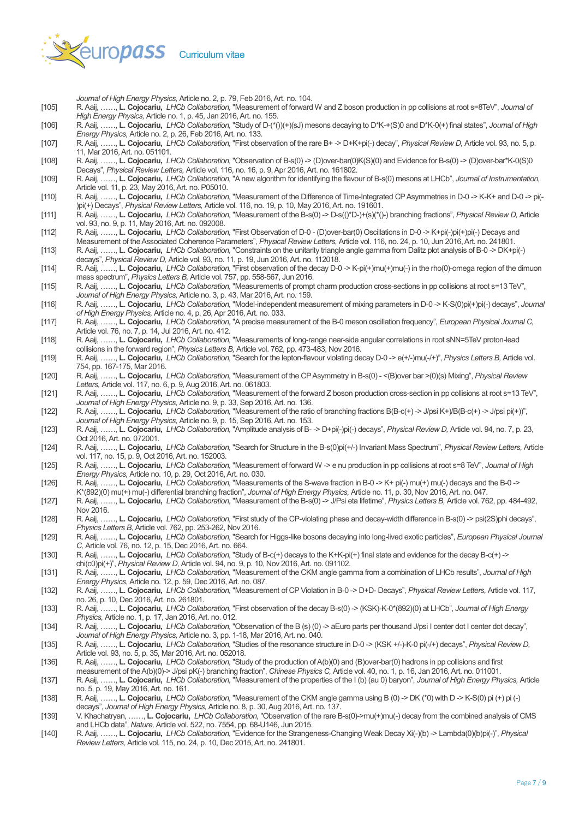

*Journal of High Energy Physics,* Article no. 2, p. 79, Feb 2016, Art. no. 104.

- [105] R. Aaij, ……, **L. Cojocariu,** *LHCb Collaboration,* "Measurement of forward W and Z boson production in pp collisions at root s=8TeV", *Journal of High Energy Physics,* Article no. 1, p. 45, Jan 2016, Art. no. 155.
- [106] R. Aaij, ……, **L. Cojocariu,** *LHCb Collaboration,* "Study of D-(\*())(+)(sJ) mesons decaying to D\*K-+(S)0 and D\*K-0(+) final states", *Journal of High Energy Physics,* Article no. 2, p. 26, Feb 2016, Art. no. 133.
- [107] R. Aaij, ……, **L. Cojocariu,** *LHCb Collaboration,* "First observation of the rare B+ -> D+K+pi(-) decay", *Physical Review D,* Article vol. 93, no. 5, p. 11, Mar 2016, Art. no. 051101.
- [108] R. Aaij, ……, **L. Cojocariu,** *LHCb Collaboration,* "Observation of B-s(0) -> (D)over-bar(0)K(S)(0) and Evidence for B-s(0) -> (D)over-bar\*K-0(S)0 Decays", *Physical Review Letters,* Article vol. 116, no. 16, p. 9, Apr 2016, Art. no. 161802.
- [109] R. Aaij, ……, **L. Cojocariu,** *LHCb Collaboration,* "A new algorithm for identifying the flavour of B-s(0) mesons at LHCb", *Journal of Instrumentation,*  Article vol. 11, p. 23, May 2016, Art. no. P05010.
- [110] R. Aaij, ……, **L. Cojocariu,** *LHCb Collaboration,* "Measurement of the Difference of Time-Integrated CP Asymmetries in D-0 -> K-K+ and D-0 -> pi(- )pi(+) Decays", *Physical Review Letters,* Article vol. 116, no. 19, p. 10, May 2016, Art. no. 191601.
- [111] R. Aaij, ……, **L. Cojocariu,** *LHCb Collaboration,* "Measurement of the B-s(0) -> D-s(()\*D-)+(s)(\*()-) branching fractions", *Physical Review D,* Article vol. 93, no. 9, p. 11, May 2016, Art. no. 092008.
- [112] R. Aaij, ……, **L. Cojocariu,** *LHCb Collaboration,* "First Observation of D-0 (D)over-bar(0) Oscillations in D-0 -> K+pi(-)pi(+)pi(-) Decays and Measurement of the Associated Coherence Parameters", *Physical Review Letters,* Article vol. 116, no. 24, p. 10, Jun 2016, Art. no. 241801.

[113] R. Aaij, ……, **L. Cojocariu,** *LHCb Collaboration,* "Constraints on the unitarity triangle angle gamma from Dalitz plot analysis of B-0 -> DK+pi(-) decays", *Physical Review D,* Article vol. 93, no. 11, p. 19, Jun 2016, Art. no. 112018.

- [114] R. Aaij, ……, **L. Cojocariu,** *LHCb Collaboration,* "First observation of the decay D-0 -> K-pi(+)mu(+)mu(-) in the rho(0)-omega region of the dimuon mass spectrum", *Physics Letters B,* Article vol. 757, pp. 558-567, Jun 2016.
- [115] R. Aaij, ……, **L. Cojocariu,** *LHCb Collaboration,* "Measurements of prompt charm production cross-sections in pp collisions at root s=13 TeV", *Journal of High Energy Physics,* Article no. 3, p. 43, Mar 2016, Art. no. 159.
- [116] R. Aaij, ……, **L. Cojocariu,** *LHCb Collaboration,* "Model-independent measurement of mixing parameters in D-0 -> K-S(0)pi(+)pi(-) decays", *Journal of High Energy Physics,* Article no. 4, p. 26, Apr 2016, Art. no. 033.
- [117] R. Aaij, ……, **L. Cojocariu,** *LHCb Collaboration,* "A precise measurement of the B-0 meson oscillation frequency", *European Physical Journal C,*  Article vol. 76, no. 7, p. 14, Jul 2016, Art. no. 412.
- [118] R. Aaij, ……, **L. Cojocariu,** *LHCb Collaboration,* "Measurements of long-range near-side angular correlations in root sNN=5TeV proton-lead collisions in the forward region", *Physics Letters B,* Article vol. 762, pp. 473-483, Nov 2016.
- [119] R. Aaij, ……, **L. Cojocariu,** *LHCb Collaboration,* "Search for the lepton-flavour violating decay D-0 -> e(+/-)mu(-/+)", *Physics Letters B,* Article vol. 754, pp. 167-175, Mar 2016.
- [120] R. Aaij, ……, **L. Cojocariu,** *LHCb Collaboration,* "Measurement of the CP Asymmetry in B-s(0) <(B)over bar >(0)(s) Mixing", *Physical Review Letters,* Article vol. 117, no. 6, p. 9, Aug 2016, Art. no. 061803.
- [121] R. Aaij, ……, **L. Cojocariu,** *LHCb Collaboration,* "Measurement of the forward Z boson production cross-section in pp collisions at root s=13 TeV", *Journal of High Energy Physics,* Article no. 9, p. 33, Sep 2016, Art. no. 136.
- [122] R. Aaij, ……, **L. Cojocariu,** *LHCb Collaboration,* "Measurement of the ratio of branching fractions B(B-c(+) -> J/psi K+)/B(B-c(+) -> J/psi pi(+))", *Journal of High Energy Physics,* Article no. 9, p. 15, Sep 2016, Art. no. 153.
- [123] R. Aaij, ……, **L. Cojocariu,** *LHCb Collaboration,* "Amplitude analysis of B- -> D+pi(-)pi(-) decays", *Physical Review D,* Article vol. 94, no. 7, p. 23, Oct 2016, Art. no. 072001.
- [124] R. Aaij, ……, **L. Cojocariu,** *LHCb Collaboration,* "Search for Structure in the B-s(0)pi(+/-) Invariant Mass Spectrum", *Physical Review Letters,* Article vol. 117, no. 15, p. 9, Oct 2016, Art. no. 152003.
- [125] R. Aaij, ……, **L. Cojocariu,** *LHCb Collaboration,* "Measurement of forward W -> e nu production in pp collisions at root s=8 TeV", *Journal of High Energy Physics,* Article no. 10, p. 29, Oct 2016, Art. no. 030.
- [126] R. Aaij, ……, **L. Cojocariu,** *LHCb Collaboration,* "Measurements of the S-wave fraction in B-0 -> K+ pi(-) mu(+) mu(-) decays and the B-0 ->
- K\*(892)(0) mu(+) mu(-) differential branching fraction", *Journal of High Energy Physics,* Article no. 11, p. 30, Nov 2016, Art. no. 047. [127] R. Aaij, ……, **L. Cojocariu,** *LHCb Collaboration,* "Measurement of the B-s(0) -> J/Psi eta lifetime", *Physics Letters B,* Article vol. 762, pp. 484-492,
- Nov 2016. [128] R. Aaij, ……, **L. Cojocariu,** *LHCb Collaboration,* "First study of the CP-violating phase and decay-width difference in B-s(0) -> psi(2S)phi decays",
- *Physics Letters B,* Article vol. 762, pp. 253-262, Nov 2016. [129] R. Aaij, ……, **L. Cojocariu,** *LHCb Collaboration,* "Search for Higgs-like bosons decaying into long-lived exotic particles", *European Physical Journal C,* Article vol. 76, no. 12, p. 15, Dec 2016, Art. no. 664.
- [130] R. Aaij, ……, **L. Cojocariu,** *LHCb Collaboration,* "Study of B-c(+) decays to the K+K-pi(+) final state and evidence for the decay B-c(+) ->

chi(c0)pi(+)", *Physical Review D,* Article vol. 94, no. 9, p. 10, Nov 2016, Art. no. 091102.

- [131] R. Aaij, ……, **L. Cojocariu,** *LHCb Collaboration,* "Measurement of the CKM angle gamma from a combination of LHCb results", *Journal of High Energy Physics,* Article no. 12, p. 59, Dec 2016, Art. no. 087.
- [132] R. Aaij, ……, **L. Cojocariu,** *LHCb Collaboration,* "Measurement of CP Violation in B-0 -> D+D- Decays", *Physical Review Letters,* Article vol. 117, no. 26, p. 10, Dec 2016, Art. no. 261801.
- [133] R. Aaij, ……, **L. Cojocariu,** *LHCb Collaboration,* "First observation of the decay B-s(0) -> (KSK)-K-0\*(892)(0) at LHCb", *Journal of High Energy Physics,* Article no. 1, p. 17, Jan 2016, Art. no. 012.
- [134] R. Aaij, ......, L. Cojocariu, *LHCb Collaboration*, "Observation of the B (s) (0) -> aEuro parts per thousand J/psi I center dot I center dot decay", *Journal of High Energy Physics,* Article no. 3, pp. 1-18, Mar 2016, Art. no. 040.
- [135] R. Aaij, ……, **L. Cojocariu,** *LHCb Collaboration,* "Studies of the resonance structure in D-0 -> (KSK +/-)-K-0 pi(-/+) decays", *Physical Review D,*  Article vol. 93, no. 5, p. 35, Mar 2016, Art. no. 052018.
- [136] R. Aaij, ……, **L. Cojocariu,** *LHCb Collaboration,* "Study of the production of A(b)(0) and (B)over-bar(0) hadrons in pp collisions and first
- measurement of the A(b)(0)-> J/psi pK(-) branching fraction", *Chinese Physics C*, Article vol. 40, no. 1, p. 16, Jan 2016, Art. no. 011001. [137] R. Aaij, ……, **L. Cojocariu,** *LHCb Collaboration,* "Measurement of the properties of the I (b) (au 0) baryon", *Journal of High Energy Physics,* Article no. 5, p. 19, May 2016, Art. no. 161.
- [138] R. Aaij, ……, **L. Cojocariu,** *LHCb Collaboration,* "Measurement of the CKM angle gamma using B (0) -> DK (\*0) with D -> K-S(0) pi (+) pi (-) decays", *Journal of High Energy Physics,* Article no. 8, p. 30, Aug 2016, Art. no. 137.
- [139] V. Khachatryan, ……, **L. Cojocariu,** *LHCb Collaboration,* "Observation of the rare B-s(0)->mu(+)mu(-) decay from the combined analysis of CMS and LHCb data", *Nature,* Article vol. 522, no. 7554, pp. 68-U146, Jun 2015.
- [140] R. Aaij, ……, **L. Cojocariu,** *LHCb Collaboration,* "Evidence for the Strangeness-Changing Weak Decay Xi(-)(b) -> Lambda(0)(b)pi(-)", *Physical Review Letters,* Article vol. 115, no. 24, p. 10, Dec 2015, Art. no. 241801.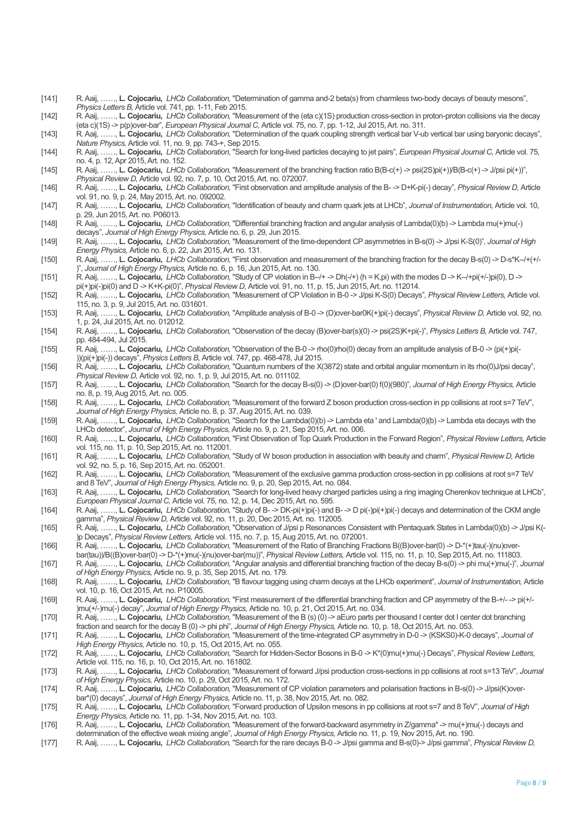- [141] R. Aaij, ……, **L. Cojocariu,** *LHCb Collaboration,* "Determination of gamma and-2 beta(s) from charmless two-body decays of beauty mesons", *Physics Letters B,* Article vol. 741, pp. 1-11, Feb 2015.
- [142] R. Aaij, ……, **L. Cojocariu,** *LHCb Collaboration,* "Measurement of the (eta c)(1S) production cross-section in proton-proton collisions via the decay (eta c)(1S) -> p(p)over-bar", *European Physical Journal C,* Article vol. 75, no. 7, pp. 1-12, Jul 2015, Art. no. 311.
- [143] R. Aaij, ……, **L. Cojocariu,** *LHCb Collaboration,* "Determination of the quark coupling strength vertical bar V-ub vertical bar using baryonic decays", *Nature Physics,* Article vol. 11, no. 9, pp. 743-+, Sep 2015.
- [144] R. Aaij, ……, **L. Cojocariu,** *LHCb Collaboration,* "Search for long-lived particles decaying to jet pairs", *European Physical Journal C,* Article vol. 75, no. 4, p. 12, Apr 2015, Art. no. 152.
- [145] R. Aaij, ……, **L. Cojocariu,** *LHCb Collaboration,* "Measurement of the branching fraction ratio B(B-c(+) -> psi(2S)pi(+))/B(B-c(+) -> J/psi pi(+))", *Physical Review D,* Article vol. 92, no. 7, p. 10, Oct 2015, Art. no. 072007.
- [146] R. Aaij, ……, **L. Cojocariu,** *LHCb Collaboration,* "First observation and amplitude analysis of the B- -> D+K-pi(-) decay", *Physical Review D,* Article vol. 91, no. 9, p. 24, May 2015, Art. no. 092002.
- [147] R. Aaij, ……, **L. Cojocariu,** *LHCb Collaboration,* "Identification of beauty and charm quark jets at LHCb", *Journal of Instrumentation,* Article vol. 10, p. 29, Jun 2015, Art. no. P06013.
- [148] R. Aaij, ……, **L. Cojocariu,** *LHCb Collaboration,* "Differential branching fraction and angular analysis of Lambda(0)(b) -> Lambda mu(+)mu(-) decays", *Journal of High Energy Physics,* Article no. 6, p. 29, Jun 2015.
- [149] R. Aaij, ……, **L. Cojocariu,** *LHCb Collaboration,* "Measurement of the time-dependent CP asymmetries in B-s(0) -> J/psi K-S(0)", *Journal of High Energy Physics,* Article no. 6, p. 22, Jun 2015, Art. no. 131.
- [150] R. Aaij, ……, **L. Cojocariu,** *LHCb Collaboration,* "First observation and measurement of the branching fraction for the decay B-s(0) -> D-s\*K--/+(+/- )", *Journal of High Energy Physics,* Article no. 6, p. 16, Jun 2015, Art. no. 130.
- [151] R. Aaij, ……, **L. Cojocariu,** *LHCb Collaboration,* "Study of CP violation in B--/+ -> Dh(-/+) (h = K,pi) with the modes D -> K--/+pi(+/-)pi(0), D -> pi(+)pi(-)pi(0) and D -> K+K-pi(0)", *Physical Review D,* Article vol. 91, no. 11, p. 15, Jun 2015, Art. no. 112014.
- [152] R. Aaij, ……, **L. Cojocariu,** *LHCb Collaboration,* "Measurement of CP Violation in B-0 -> J/psi K-S(0) Decays", *Physical Review Letters,* Article vol. 115, no. 3, p. 9, Jul 2015, Art. no. 031601.
- [153] R. Aaij, ……, **L. Cojocariu,** *LHCb Collaboration,* "Amplitude analysis of B-0 -> (D)over-bar0K(+)pi(-) decays", *Physical Review D,* Article vol. 92, no. 1, p. 24, Jul 2015, Art. no. 012012.
- [154] R. Aaij, ……, **L. Cojocariu,** *LHCb Collaboration,* "Observation of the decay (B)over-bar(s)(0) -> psi(2S)K+pi(-)", *Physics Letters B,* Article vol. 747, pp. 484-494, Jul 2015.
- [155] R. Aaij, ……, **L. Cojocariu,** *LHCb Collaboration,* "Observation of the B-0 -> rho(0)rho(0) decay from an amplitude analysis of B-0 -> (pi(+)pi(- ))(pi(+)pi(-)) decays", *Physics Letters B,* Article vol. 747, pp. 468-478, Jul 2015.
- [156] R. Aaij, ……, **L. Cojocariu,** *LHCb Collaboration,* "Quantum numbers of the X(3872) state and orbital angular momentum in its rho(0)J/psi decay", *Physical Review D,* Article vol. 92, no. 1, p. 9, Jul 2015, Art. no. 011102.
- [157] R. Aaij, ……, **L. Cojocariu,** *LHCb Collaboration,* "Search for the decay B-s(0) -> (D)over-bar(0) f(0)(980)", *Journal of High Energy Physics,* Article no. 8, p. 19, Aug 2015, Art. no. 005.
- [158] R. Aaij, ……, **L. Cojocariu,** *LHCb Collaboration,* "Measurement of the forward Z boson production cross-section in pp collisions at root s=7 TeV", *Journal of High Energy Physics,* Article no. 8, p. 37, Aug 2015, Art. no. 039.
- [159] R. Aaij, ……, **L. Cojocariu,** *LHCb Collaboration,* "Search for the Lambda(0)(b) -> Lambda eta ' and Lambda(0)(b) -> Lambda eta decays with the LHCb detector", *Journal of High Energy Physics,* Article no. 9, p. 21, Sep 2015, Art. no. 006.
- [160] R. Aaij, ……, **L. Cojocariu,** *LHCb Collaboration,* "First Observation of Top Quark Production in the Forward Region", *Physical Review Letters,* Article vol. 115, no. 11, p. 10, Sep 2015, Art. no. 112001.
- [161] R. Aaij, ……, **L. Cojocariu,** *LHCb Collaboration,* "Study of W boson production in association with beauty and charm", *Physical Review D,* Article vol. 92, no. 5, p. 16, Sep 2015, Art. no. 052001.
- [162] R. Aaij, ……, **L. Cojocariu,** *LHCb Collaboration,* "Measurement of the exclusive gamma production cross-section in pp collisions at root s=7 TeV and 8 TeV", *Journal of High Energy Physics,* Article no. 9, p. 20, Sep 2015, Art. no. 084.
- [163] R. Aaij, ……, **L. Cojocariu,** *LHCb Collaboration,* "Search for long-lived heavy charged particles using a ring imaging Cherenkov technique at LHCb", *European Physical Journal C,* Article vol. 75, no. 12, p. 14, Dec 2015, Art. no. 595.
- [164] R. Aaij, ……, **L. Cojocariu,** *LHCb Collaboration,* "Study of B- -> DK-pi(+)pi(-) and B- -> D pi(-)pi(+)pi(-) decays and determination of the CKM angle gamma", *Physical Review D,* Article vol. 92, no. 11, p. 20, Dec 2015, Art. no. 112005.
- [165] R. Aaij, ……, **L. Cojocariu,** *LHCb Collaboration,* "Observation of J/psi p Resonances Consistent with Pentaquark States in Lambda(0)(b) -> J/psi K(- )p Decays", *Physical Review Letters,* Article vol. 115, no. 7, p. 15, Aug 2015, Art. no. 072001.
- [166] R. Aaij, ……, **L. Cojocariu,** *LHCb Collaboration,* "Measurement of the Ratio of Branching Fractions B((B)over-bar(0) -> D-\*(+)tau(-)(nu)over-
- bar(tau))/B((B)over-bar(0) -> D-\*(+)mu(-)(nu)over-bar(mu))", *Physical Review Letters,* Article vol. 115, no. 11, p. 10, Sep 2015, Art. no. 111803. [167] R. Aaij, ……, **L. Cojocariu,** *LHCb Collaboration,* "Angular analysis and differential branching fraction of the decay B-s(0) -> phi mu(+)mu(-)", *Journal*
- *of High Energy Physics,* Article no. 9, p. 35, Sep 2015, Art. no. 179. [168] R. Aaij, ……, **L. Cojocariu,** *LHCb Collaboration,* "B flavour tagging using charm decays at the LHCb experiment", *Journal of Instrumentation,* Article
- vol. 10, p. 16, Oct 2015, Art. no. P10005.
- [169] R. Aaij, ……, **L. Cojocariu,** *LHCb Collaboration,* "First measurement of the differential branching fraction and CP asymmetry of the B-+/- -> pi(+/- )mu(+/-)mu(-) decay", *Journal of High Energy Physics,* Article no. 10, p. 21, Oct 2015, Art. no. 034.
- [170] R. Aaij, ……, **L. Cojocariu,** *LHCb Collaboration,* "Measurement of the B (s) (0) -> aEuro parts per thousand I center dot I center dot branching fraction and search for the decay B (0) -> phi phi", *Journal of High Energy Physics,* Article no. 10, p. 18, Oct 2015, Art. no. 053.
- [171] R. Aaij, ……, **L. Cojocariu,** *LHCb Collaboration,* "Measurement of the time-integrated CP asymmetry in D-0 -> (KSKS0)-K-0 decays", *Journal of High Energy Physics,* Article no. 10, p. 15, Oct 2015, Art. no. 055.
- [172] R. Aaij, ……, **L. Cojocariu,** *LHCb Collaboration,* "Search for Hidden-Sector Bosons in B-0 -> K\*(0)mu(+)mu(-) Decays", *Physical Review Letters,*  Article vol. 115, no. 16, p. 10, Oct 2015, Art. no. 161802.
- [173] R. Aaij, ……, **L. Cojocariu,** *LHCb Collaboration,* "Measurement of forward J/psi production cross-sections in pp collisions at root s=13 TeV", *Journal of High Energy Physics,* Article no. 10, p. 29, Oct 2015, Art. no. 172.
- [174] R. Aaij, ……, **L. Cojocariu,** *LHCb Collaboration,* "Measurement of CP violation parameters and polarisation fractions in B-s(0) -> J/psi(K)overbar\*(0) decays", *Journal of High Energy Physics,* Article no. 11, p. 38, Nov 2015, Art. no. 082.
- [175] R. Aaij, ……, **L. Cojocariu,** *LHCb Collaboration,* "Forward production of Upsilon mesons in pp collisions at root s=7 and 8 TeV", *Journal of High Energy Physics,* Article no. 11, pp. 1-34, Nov 2015, Art. no. 103.
- [176] R. Aaij, ……, **L. Cojocariu,** *LHCb Collaboration,* "Measurement of the forward-backward asymmetry in Z/gamma\* -> mu(+)mu(-) decays and determination of the effective weak mixing angle", *Journal of High Energy Physics,* Article no. 11, p. 19, Nov 2015, Art. no. 190.
- [177] R. Aaij, ……, **L. Cojocariu,** *LHCb Collaboration,* "Search for the rare decays B-0 -> J/psi gamma and B-s(0)-> J/psi gamma", *Physical Review D,*